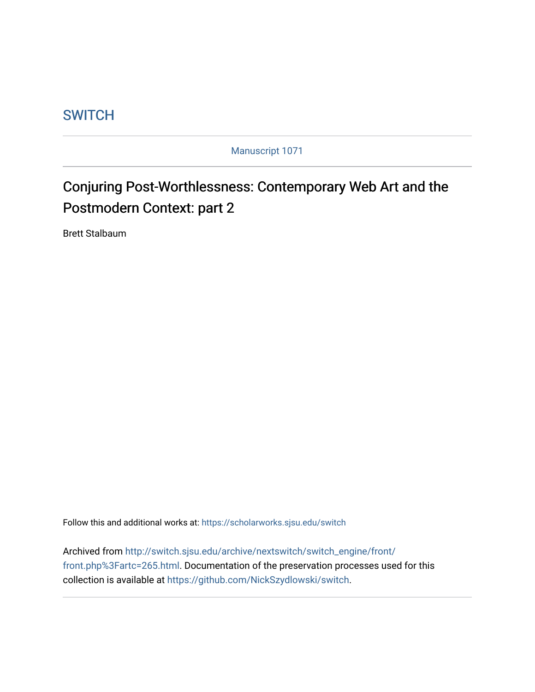# **SWITCH**

Manuscript 1071

# Conjuring Post-Worthlessness: Contemporary Web Art and the Postmodern Context: part 2

Brett Stalbaum

Follow this and additional works at: [https://scholarworks.sjsu.edu/switch](https://scholarworks.sjsu.edu/switch?utm_source=scholarworks.sjsu.edu%2Fswitch%2Fvol7%2Fiss1%2F3&utm_medium=PDF&utm_campaign=PDFCoverPages)

Archived from [http://switch.sjsu.edu/archive/nextswitch/switch\\_engine/front/](http://switch.sjsu.edu/archive/nextswitch/switch_engine/front/front.php%3Fartc=265.html) [front.php%3Fartc=265.html.](http://switch.sjsu.edu/archive/nextswitch/switch_engine/front/front.php%3Fartc=265.html) Documentation of the preservation processes used for this collection is available at [https://github.com/NickSzydlowski/switch.](https://github.com/NickSzydlowski/switch)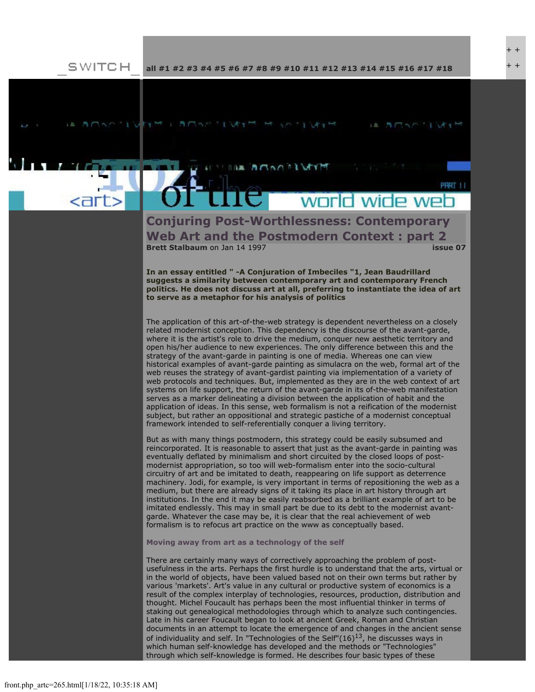$+$ + +

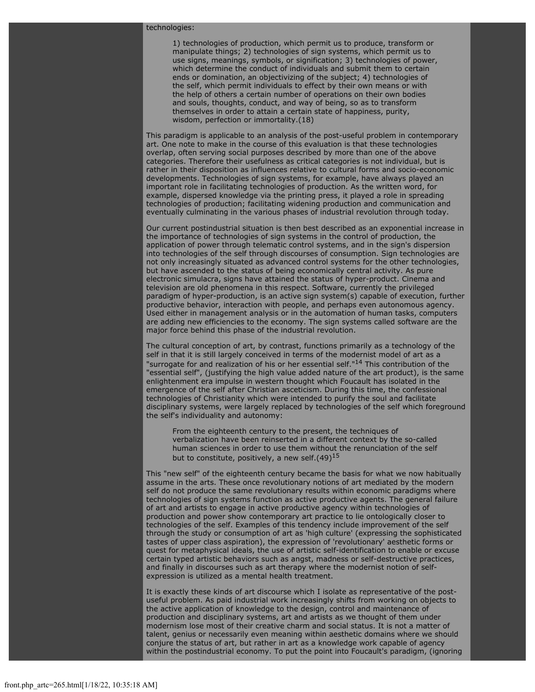#### technologies:

1) technologies of production, which permit us to produce, transform or manipulate things; 2) technologies of sign systems, which permit us to use signs, meanings, symbols, or signification; 3) technologies of power, which determine the conduct of individuals and submit them to certain ends or domination, an objectivizing of the subject; 4) technologies of the self, which permit individuals to effect by their own means or with the help of others a certain number of operations on their own bodies and souls, thoughts, conduct, and way of being, so as to transform themselves in order to attain a certain state of happiness, purity, wisdom, perfection or immortality.(18)

This paradigm is applicable to an analysis of the post-useful problem in contemporary art. One note to make in the course of this evaluation is that these technologies overlap, often serving social purposes described by more than one of the above categories. Therefore their usefulness as critical categories is not individual, but is rather in their disposition as influences relative to cultural forms and socio-economic developments. Technologies of sign systems, for example, have always played an important role in facilitating technologies of production. As the written word, for example, dispersed knowledge via the printing press, it played a role in spreading technologies of production; facilitating widening production and communication and eventually culminating in the various phases of industrial revolution through today.

Our current postindustrial situation is then best described as an exponential increase in the importance of technologies of sign systems in the control of production, the application of power through telematic control systems, and in the sign's dispersion into technologies of the self through discourses of consumption. Sign technologies are not only increasingly situated as advanced control systems for the other technologies, but have ascended to the status of being economically central activity. As pure electronic simulacra, signs have attained the status of hyper-product. Cinema and television are old phenomena in this respect. Software, currently the privileged paradigm of hyper-production, is an active sign system(s) capable of execution, further productive behavior, interaction with people, and perhaps even autonomous agency. Used either in management analysis or in the automation of human tasks, computers are adding new efficiencies to the economy. The sign systems called software are the major force behind this phase of the industrial revolution.

The cultural conception of art, by contrast, functions primarily as a technology of the self in that it is still largely conceived in terms of the modernist model of art as a "surrogate for and realization of his or her essential self."<sup>14</sup> This contribution of the "essential self", (justifying the high value added nature of the art product), is the same enlightenment era impulse in western thought which Foucault has isolated in the emergence of the self after Christian asceticism. During this time, the confessional technologies of Christianity which were intended to purify the soul and facilitate disciplinary systems, were largely replaced by technologies of the self which foreground the self's individuality and autonomy:

From the eighteenth century to the present, the techniques of verbalization have been reinserted in a different context by the so-called human sciences in order to use them without the renunciation of the self but to constitute, positively, a new self. $(49)^{15}$ 

This "new self" of the eighteenth century became the basis for what we now habitually assume in the arts. These once revolutionary notions of art mediated by the modern self do not produce the same revolutionary results within economic paradigms where technologies of sign systems function as active productive agents. The general failure of art and artists to engage in active productive agency within technologies of production and power show contemporary art practice to lie ontologically closer to technologies of the self. Examples of this tendency include improvement of the self through the study or consumption of art as 'high culture' (expressing the sophisticated tastes of upper class aspiration), the expression of 'revolutionary' aesthetic forms or quest for metaphysical ideals, the use of artistic self-identification to enable or excuse certain typed artistic behaviors such as angst, madness or self-destructive practices, and finally in discourses such as art therapy where the modernist notion of selfexpression is utilized as a mental health treatment.

It is exactly these kinds of art discourse which I isolate as representative of the postuseful problem. As paid industrial work increasingly shifts from working on objects to the active application of knowledge to the design, control and maintenance of production and disciplinary systems, art and artists as we thought of them under modernism lose most of their creative charm and social status. It is not a matter of talent, genius or necessarily even meaning within aesthetic domains where we should conjure the status of art, but rather in art as a knowledge work capable of agency within the postindustrial economy. To put the point into Foucault's paradigm, (ignoring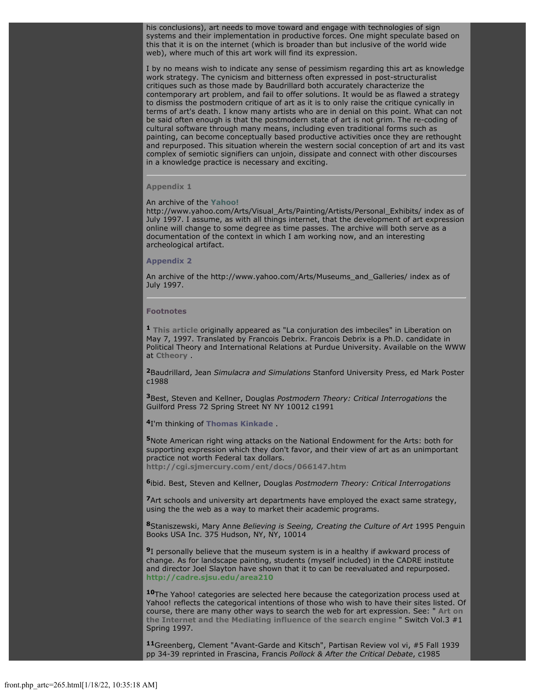his conclusions), art needs to move toward and engage with technologies of sign systems and their implementation in productive forces. One might speculate based on this that it is on the internet (which is broader than but inclusive of the world wide web), where much of this art work will find its expression.

I by no means wish to indicate any sense of pessimism regarding this art as knowledge work strategy. The cynicism and bitterness often expressed in post-structuralist critiques such as those made by Baudrillard both accurately characterize the contemporary art problem, and fail to offer solutions. It would be as flawed a strategy to dismiss the postmodern critique of art as it is to only raise the critique cynically in terms of art's death. I know many artists who are in denial on this point. What can not be said often enough is that the postmodern state of art is not grim. The re-coding of cultural software through many means, including even traditional forms such as painting, can become conceptually based productive activities once they are rethought and repurposed. This situation wherein the western social conception of art and its vast complex of semiotic signifiers can unjoin, dissipate and connect with other discourses in a knowledge practice is necessary and exciting.

## **[Appendix 1](file:///Users/nszydlowski/Desktop/websites%20copy/Switch%20Journal/switch.sjsu.edu/archive/web/art.online2/brett.links/YArchive/Yahoo%21ArtsVisual.html)**

#### An archive of the **[Yahoo!](http://www.yahoo.com/)**

http://www.yahoo.com/Arts/Visual\_Arts/Painting/Artists/Personal\_Exhibits/ index as of July 1997. I assume, as with all things internet, that the development of art expression online will change to some degree as time passes. The archive will both serve as a documentation of the context in which I am working now, and an interesting archeological artifact.

#### **[Appendix 2](file:///Users/nszydlowski/Desktop/websites%20copy/Switch%20Journal/switch.sjsu.edu/archive/web/art.online2/brett.links/YArchive/Yahoo%21ArtsMuseums.html)**

An archive of the http://www.yahoo.com/Arts/Museums\_and\_Galleries/ index as of July 1997.

### **Footnotes**

**<sup>1</sup> [This article](http://www.ctheory.com/e43.html)** originally appeared as "La conjuration des imbeciles" in Liberation on May 7, 1997. Translated by Francois Debrix. Francois Debrix is a Ph.D. candidate in Political Theory and International Relations at Purdue University. Available on the WWW at **[Ctheory](http://www.ctheory.com/)** .

**<sup>2</sup>**Baudrillard, Jean *Simulacra and Simulations* Stanford University Press, ed Mark Poster c1988

**<sup>3</sup>**Best, Steven and Kellner, Douglas *Postmodern Theory: Critical Interrogations* the Guilford Press 72 Spring Street NY NY 10012 c1991

**<sup>4</sup>**I'm thinking of **[Thomas Kinkade](http://www.thomaskinkade.com/)** .

**<sup>5</sup>**Note American right wing attacks on the National Endowment for the Arts: both for supporting expression which they don't favor, and their view of art as an unimportant practice not worth Federal tax dollars. **<http://cgi.sjmercury.com/ent/docs/066147.htm>**

**<sup>6</sup>**ibid. Best, Steven and Kellner, Douglas *Postmodern Theory: Critical Interrogations*

**<sup>7</sup>**Art schools and university art departments have employed the exact same strategy, using the the web as a way to market their academic programs.

**<sup>8</sup>**Staniszewski, Mary Anne *Believing is Seeing, Creating the Culture of Art* 1995 Penguin Books USA Inc. 375 Hudson, NY, NY, 10014

**<sup>9</sup>**I personally believe that the museum system is in a healthy if awkward process of change. As for landscape painting, students (myself included) in the CADRE institute and director Joel Slayton have shown that it to can be reevaluated and repurposed. **<http://cadre.sjsu.edu/area210>**

**<sup>10</sup>**The Yahoo! categories are selected here because the categorization process used at Yahoo! reflects the categorical intentions of those who wish to have their sites listed. Of course, there are many other ways to search the web for art expression. See: " **[Art on](file:///Users/nszydlowski/Desktop/websites%20copy/Switch%20Journal/switch.sjsu.edu_/web/art.online/brett.links/brett.article.html) [the Internet and the Mediating influence of the search engine](file:///Users/nszydlowski/Desktop/websites%20copy/Switch%20Journal/switch.sjsu.edu_/web/art.online/brett.links/brett.article.html)** " Switch Vol.3 #1 Spring 1997.

**<sup>11</sup>**Greenberg, Clement "Avant-Garde and Kitsch", Partisan Review vol vi, #5 Fall 1939 pp 34-39 reprinted in Frascina, Francis *Pollock & After the Critical Debate*, c1985